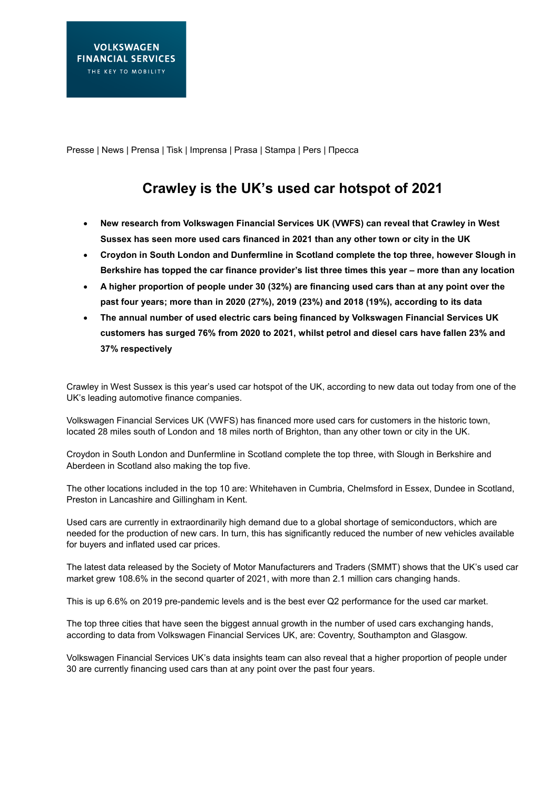Presse | News | Prensa | Tisk | Imprensa | Prasa | Stampa | Pers | Пресса

## **Crawley is the UK's used car hotspot of 2021**

- **New research from Volkswagen Financial Services UK (VWFS) can reveal that Crawley in West Sussex has seen more used cars financed in 2021 than any other town or city in the UK**
- **Croydon in South London and Dunfermline in Scotland complete the top three, however Slough in Berkshire has topped the car finance provider's list three times this year – more than any location**
- **A higher proportion of people under 30 (32%) are financing used cars than at any point over the past four years; more than in 2020 (27%), 2019 (23%) and 2018 (19%), according to its data**
- **The annual number of used electric cars being financed by Volkswagen Financial Services UK customers has surged 76% from 2020 to 2021, whilst petrol and diesel cars have fallen 23% and 37% respectively**

Crawley in West Sussex is this year's used car hotspot of the UK, according to new data out today from one of the UK's leading automotive finance companies.

Volkswagen Financial Services UK (VWFS) has financed more used cars for customers in the historic town, located 28 miles south of London and 18 miles north of Brighton, than any other town or city in the UK.

Croydon in South London and Dunfermline in Scotland complete the top three, with Slough in Berkshire and Aberdeen in Scotland also making the top five.

The other locations included in the top 10 are: Whitehaven in Cumbria, Chelmsford in Essex, Dundee in Scotland, Preston in Lancashire and Gillingham in Kent.

Used cars are currently in extraordinarily high demand due to a global shortage of semiconductors, which are needed for the production of new cars. In turn, this has significantly reduced the number of new vehicles available for buyers and inflated used car prices.

The latest data released by the Society of Motor Manufacturers and Traders (SMMT) shows that the UK's used car market grew 108.6% in the second quarter of 2021, with more than 2.1 million cars changing hands.

This is up 6.6% on 2019 pre-pandemic levels and is the best ever Q2 performance for the used car market.

The top three cities that have seen the biggest annual growth in the number of used cars exchanging hands, according to data from Volkswagen Financial Services UK, are: Coventry, Southampton and Glasgow.

Volkswagen Financial Services UK's data insights team can also reveal that a higher proportion of people under 30 are currently financing used cars than at any point over the past four years.